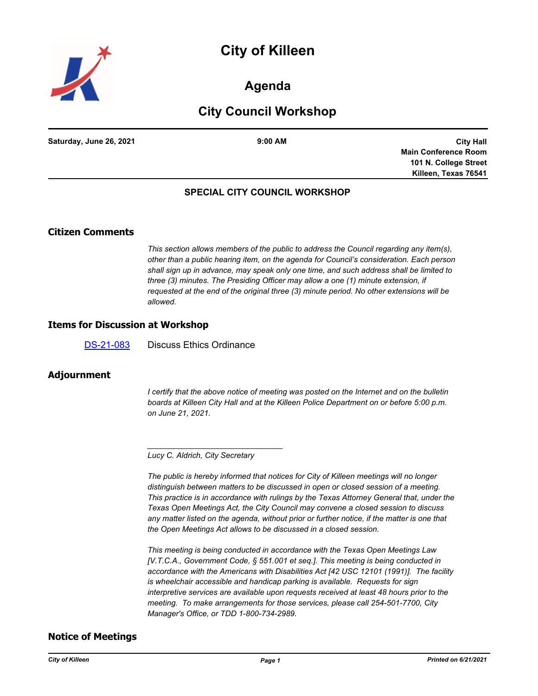# **City of Killeen**



# **Agenda**

# **City Council Workshop**

**Saturday, June 26, 2021 9:00 AM**

**City Hall Main Conference Room 101 N. College Street Killeen, Texas 76541**

#### **SPECIAL CITY COUNCIL WORKSHOP**

## **Citizen Comments**

*This section allows members of the public to address the Council regarding any item(s), other than a public hearing item, on the agenda for Council's consideration. Each person shall sign up in advance, may speak only one time, and such address shall be limited to three (3) minutes. The Presiding Officer may allow a one (1) minute extension, if requested at the end of the original three (3) minute period. No other extensions will be allowed.*

#### **Items for Discussion at Workshop**

[DS-21-083](http://killeen.legistar.com/gateway.aspx?m=l&id=/matter.aspx?key=5561) Discuss Ethics Ordinance

## **Adjournment**

*I* certify that the above notice of meeting was posted on the Internet and on the bulletin *boards at Killeen City Hall and at the Killeen Police Department on or before 5:00 p.m. on June 21, 2021.*

*Lucy C. Aldrich, City Secretary* 

*\_\_\_\_\_\_\_\_\_\_\_\_\_\_\_\_\_\_\_\_\_\_\_\_\_\_\_\_\_\_\_*

*The public is hereby informed that notices for City of Killeen meetings will no longer distinguish between matters to be discussed in open or closed session of a meeting. This practice is in accordance with rulings by the Texas Attorney General that, under the Texas Open Meetings Act, the City Council may convene a closed session to discuss any matter listed on the agenda, without prior or further notice, if the matter is one that the Open Meetings Act allows to be discussed in a closed session.*

*This meeting is being conducted in accordance with the Texas Open Meetings Law [V.T.C.A., Government Code, § 551.001 et seq.]. This meeting is being conducted in accordance with the Americans with Disabilities Act [42 USC 12101 (1991)]. The facility is wheelchair accessible and handicap parking is available. Requests for sign interpretive services are available upon requests received at least 48 hours prior to the meeting. To make arrangements for those services, please call 254-501-7700, City Manager's Office, or TDD 1-800-734-2989.*

## **Notice of Meetings**